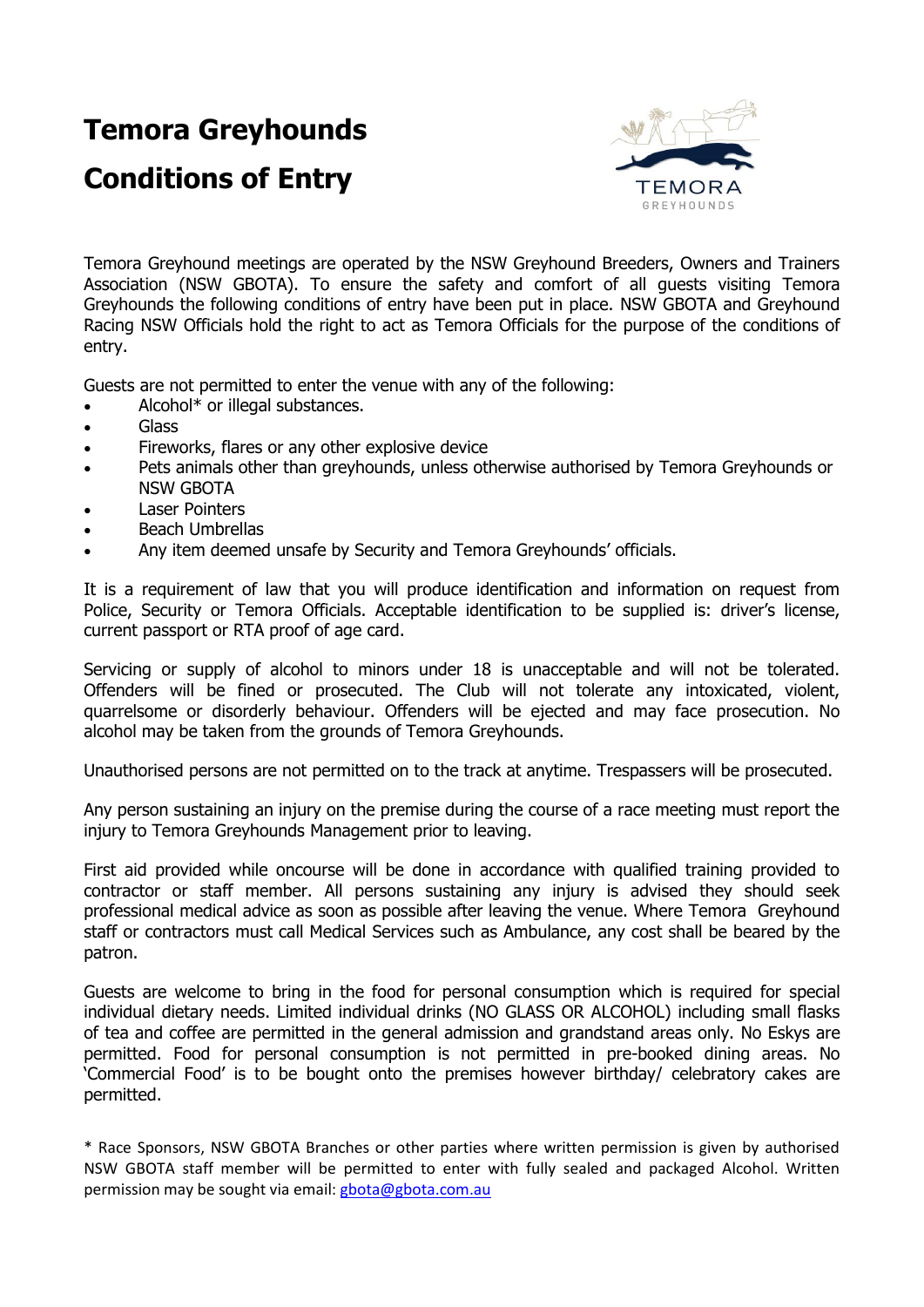# **Temora Greyhounds**

# **Conditions of Entry**



Temora Greyhound meetings are operated by the NSW Greyhound Breeders, Owners and Trainers Association (NSW GBOTA). To ensure the safety and comfort of all guests visiting Temora Greyhounds the following conditions of entry have been put in place. NSW GBOTA and Greyhound Racing NSW Officials hold the right to act as Temora Officials for the purpose of the conditions of entry.

Guests are not permitted to enter the venue with any of the following:

- Alcohol\* or illegal substances.
- Glass
- Fireworks, flares or any other explosive device
- Pets animals other than greyhounds, unless otherwise authorised by Temora Greyhounds or NSW GBOTA
- Laser Pointers
- Beach Umbrellas
- Any item deemed unsafe by Security and Temora Greyhounds' officials.

It is a requirement of law that you will produce identification and information on request from Police, Security or Temora Officials. Acceptable identification to be supplied is: driver's license, current passport or RTA proof of age card.

Servicing or supply of alcohol to minors under 18 is unacceptable and will not be tolerated. Offenders will be fined or prosecuted. The Club will not tolerate any intoxicated, violent, quarrelsome or disorderly behaviour. Offenders will be ejected and may face prosecution. No alcohol may be taken from the grounds of Temora Greyhounds.

Unauthorised persons are not permitted on to the track at anytime. Trespassers will be prosecuted.

Any person sustaining an injury on the premise during the course of a race meeting must report the injury to Temora Greyhounds Management prior to leaving.

First aid provided while oncourse will be done in accordance with qualified training provided to contractor or staff member. All persons sustaining any injury is advised they should seek professional medical advice as soon as possible after leaving the venue. Where Temora Greyhound staff or contractors must call Medical Services such as Ambulance, any cost shall be beared by the patron.

Guests are welcome to bring in the food for personal consumption which is required for special individual dietary needs. Limited individual drinks (NO GLASS OR ALCOHOL) including small flasks of tea and coffee are permitted in the general admission and grandstand areas only. No Eskys are permitted. Food for personal consumption is not permitted in pre-booked dining areas. No 'Commercial Food' is to be bought onto the premises however birthday/ celebratory cakes are permitted.

\* Race Sponsors, NSW GBOTA Branches or other parties where written permission is given by authorised NSW GBOTA staff member will be permitted to enter with fully sealed and packaged Alcohol. Written permission may be sought via email: [gbota@gbota.com.au](mailto:gbota@gbota.com.au)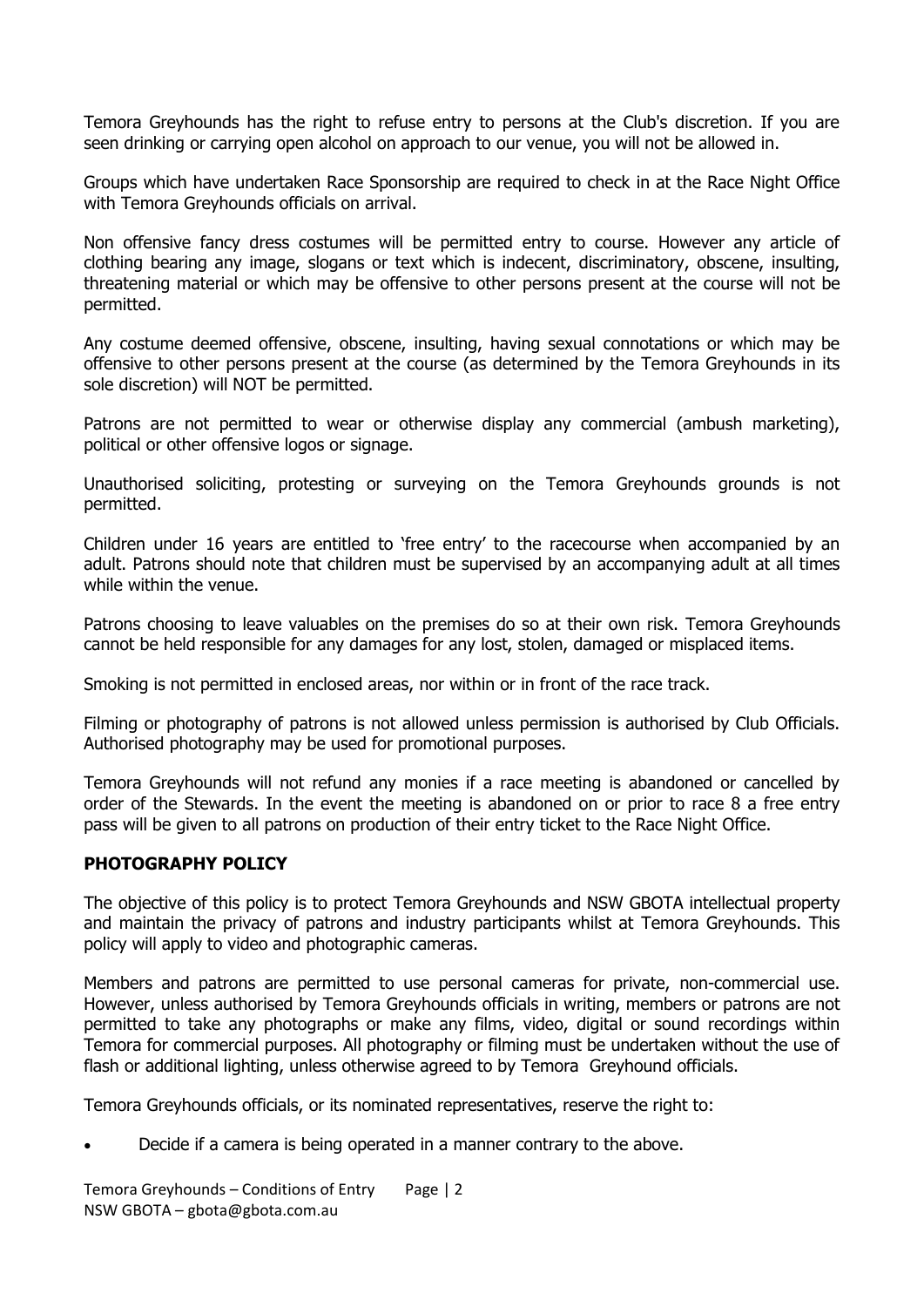Temora Greyhounds has the right to refuse entry to persons at the Club's discretion. If you are seen drinking or carrying open alcohol on approach to our venue, you will not be allowed in.

Groups which have undertaken Race Sponsorship are required to check in at the Race Night Office with Temora Greyhounds officials on arrival.

Non offensive fancy dress costumes will be permitted entry to course. However any article of clothing bearing any image, slogans or text which is indecent, discriminatory, obscene, insulting, threatening material or which may be offensive to other persons present at the course will not be permitted.

Any costume deemed offensive, obscene, insulting, having sexual connotations or which may be offensive to other persons present at the course (as determined by the Temora Greyhounds in its sole discretion) will NOT be permitted.

Patrons are not permitted to wear or otherwise display any commercial (ambush marketing), political or other offensive logos or signage.

Unauthorised soliciting, protesting or surveying on the Temora Greyhounds grounds is not permitted.

Children under 16 years are entitled to 'free entry' to the racecourse when accompanied by an adult. Patrons should note that children must be supervised by an accompanying adult at all times while within the venue.

Patrons choosing to leave valuables on the premises do so at their own risk. Temora Greyhounds cannot be held responsible for any damages for any lost, stolen, damaged or misplaced items.

Smoking is not permitted in enclosed areas, nor within or in front of the race track.

Filming or photography of patrons is not allowed unless permission is authorised by Club Officials. Authorised photography may be used for promotional purposes.

Temora Greyhounds will not refund any monies if a race meeting is abandoned or cancelled by order of the Stewards. In the event the meeting is abandoned on or prior to race 8 a free entry pass will be given to all patrons on production of their entry ticket to the Race Night Office.

#### **PHOTOGRAPHY POLICY**

The objective of this policy is to protect Temora Greyhounds and NSW GBOTA intellectual property and maintain the privacy of patrons and industry participants whilst at Temora Greyhounds. This policy will apply to video and photographic cameras.

Members and patrons are permitted to use personal cameras for private, non-commercial use. However, unless authorised by Temora Greyhounds officials in writing, members or patrons are not permitted to take any photographs or make any films, video, digital or sound recordings within Temora for commercial purposes. All photography or filming must be undertaken without the use of flash or additional lighting, unless otherwise agreed to by Temora Greyhound officials.

Temora Greyhounds officials, or its nominated representatives, reserve the right to:

Decide if a camera is being operated in a manner contrary to the above.

Temora Greyhounds – Conditions of Entry Page | 2 NSW GBOTA – gbota@gbota.com.au